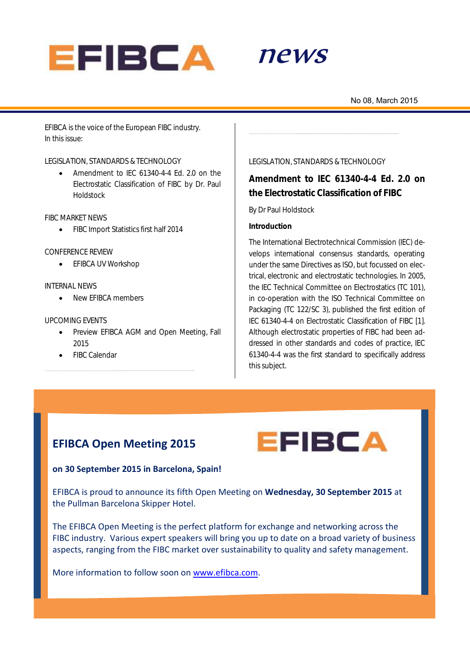

# news

EFIBCA is the voice of the European FIBC industry. In this issue:

## LEGISLATION, STANDARDS & TECHNOLOGY

• Amendment to IEC 61340-4-4 Ed. 2.0 on the Electrostatic Classification of FIBC by Dr. Paul Holdstock

#### FIBC MARKET NEWS

• FIBC Import Statistics first half 2014

#### CONFERENCE REVIEW

**•** EFIBCA UV Workshop

#### INTERNAL NEWS

• New EFIBCA members

#### UPCOMING EVENTS

- Preview EFIBCA AGM and Open Meeting, Fall 2015
- FIBC Calendar

## LEGISLATION, STANDARDS & TECHNOLOGY

**Amendment to IEC 61340-4-4 Ed. 2.0 on the Electrostatic Classification of FIBC** 

By Dr Paul Holdstock

#### **Introduction**

The International Electrotechnical Commission (IEC) develops international consensus standards, operating under the same Directives as ISO, but focussed on electrical, electronic and electrostatic technologies. In 2005, the IEC Technical Committee on Electrostatics (TC 101), in co-operation with the ISO Technical Committee on Packaging (TC 122/SC 3), published the first edition of IEC 61340-4-4 on Electrostatic Classification of FIBC [1]. Although electrostatic properties of FIBC had been addressed in other standards and codes of practice, IEC 61340-4-4 was the first standard to specifically address this subject.

EFIBCA



# **on 30 September 2015 in Barcelona, Spain!**

EFIBCA is proud to announce its fifth Open Meeting on **Wednesday, 30 September 2015** at the Pullman Barcelona Skipper Hotel.

The EFIBCA Open Meeting is the perfect platform for exchange and networking across the FIBC industry. Various expert speakers will bring you up to date on a broad variety of business aspects, ranging from the FIBC market over sustainability to quality and safety management.

More information to follow soon on [www.efibca.com.](http://www.efibca.com/)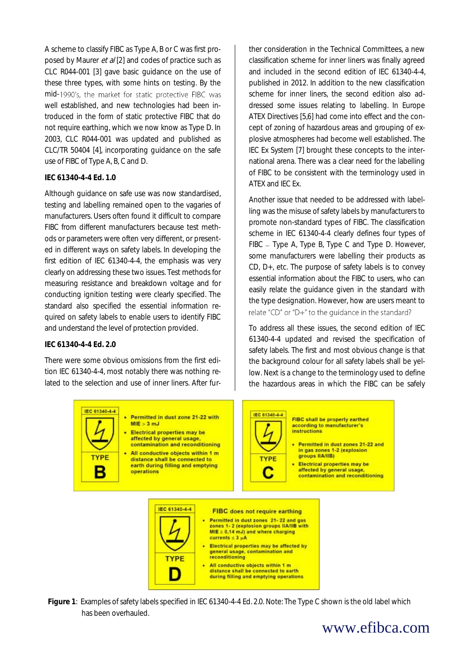A scheme to classify FIBC as Type A, B or C was first proposed by Maurer et al [2] and codes of practice such as CLC R044-001 [3] gave basic guidance on the use of these three types, with some hints on testing. By the mid-1990's, the market for static protective FIBC was well established, and new technologies had been introduced in the form of static protective FIBC that do not require earthing, which we now know as Type D. In 2003, CLC R044-001 was updated and published as CLC/TR 50404 [4], incorporating guidance on the safe use of FIBC of Type A, B, C and D.

## **IEC 61340-4-4 Ed. 1.0**

Although guidance on safe use was now standardised, testing and labelling remained open to the vagaries of manufacturers. Users often found it difficult to compare FIBC from different manufacturers because test methods or parameters were often very different, or presented in different ways on safety labels. In developing the first edition of IEC 61340-4-4, the emphasis was very clearly on addressing these two issues. Test methods for measuring resistance and breakdown voltage and for conducting ignition testing were clearly specified. The standard also specified the essential information required on safety labels to enable users to identify FIBC and understand the level of protection provided.

## **IEC 61340-4-4 Ed. 2.0**

There were some obvious omissions from the first edition IEC 61340-4-4, most notably there was nothing related to the selection and use of inner liners. After fur-

ther consideration in the Technical Committees, a new classification scheme for inner liners was finally agreed and included in the second edition of IEC 61340-4-4, published in 2012. In addition to the new classification scheme for inner liners, the second edition also addressed some issues relating to labelling. In Europe ATEX Directives [5,6] had come into effect and the concept of zoning of hazardous areas and grouping of explosive atmospheres had become well established. The IEC Ex System [7] brought these concepts to the international arena. There was a clear need for the labelling of FIBC to be consistent with the terminology used in ATEX and IEC Ex.

Another issue that needed to be addressed with labelling was the misuse of safety labels by manufacturers to promote non-standard types of FIBC. The classification scheme in IEC 61340-4-4 clearly defines four types of  $F\text{IBC}$  – Type A, Type B, Type C and Type D. However, some manufacturers were labelling their products as CD, D+, etc. The purpose of safety labels is to convey essential information about the FIBC to users, who can easily relate the guidance given in the standard with the type designation. However, how are users meant to relate "CD" or "D+" to the quidance in the standard?

To address all these issues, the second edition of IEC 61340-4-4 updated and revised the specification of safety labels. The first and most obvious change is that the background colour for all safety labels shall be yellow. Next is a change to the terminology used to define the hazardous areas in which the FIBC can be safely



**Figure 1**: Examples of safety labels specified in IEC 61340-4-4 Ed. 2.0. Note: The Type C shown is the old label which has been overhauled.

during filling and emptying operations

D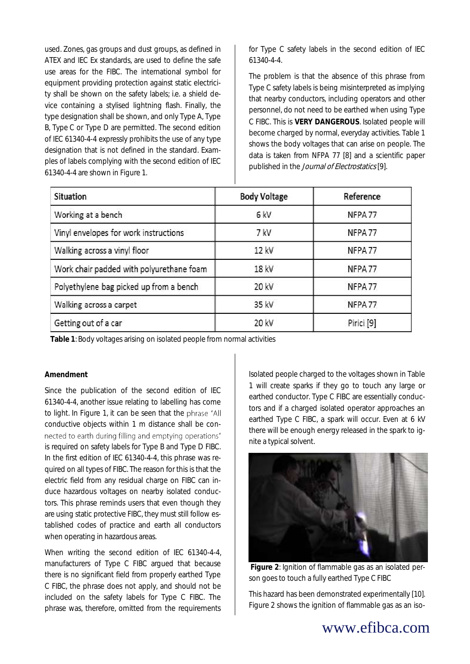used. Zones, gas groups and dust groups, as defined in ATEX and IEC Ex standards, are used to define the safe use areas for the FIBC. The international symbol for equipment providing protection against static electricity shall be shown on the safety labels; i.e. a shield device containing a stylised lightning flash. Finally, the type designation shall be shown, and only Type A, Type B, Type C or Type D are permitted. The second edition of IEC 61340-4-4 expressly prohibits the use of any type designation that is not defined in the standard. Examples of labels complying with the second edition of IEC 61340-4-4 are shown in Figure 1.

for Type C safety labels in the second edition of IEC 61340-4-4.

The problem is that the absence of this phrase from Type C safety labels is being misinterpreted as implying that nearby conductors, including operators and other personnel, do not need to be earthed when using Type C FIBC. This is **VERY DANGEROUS**. Isolated people will become charged by normal, everyday activities. Table 1 shows the body voltages that can arise on people. The data is taken from NFPA 77 [8] and a scientific paper published in the Journal of Electrostatics [9].

| Situation                                | <b>Body Voltage</b> | Reference             |
|------------------------------------------|---------------------|-----------------------|
| Working at a bench                       | 6 kV                | NFPA <sub>77</sub>    |
| Vinyl envelopes for work instructions    | 7 kV                | NFPA <sub>77</sub>    |
| Walking across a vinyl floor             | 12 kV               | NFPA <sub>77</sub>    |
| Work chair padded with polyurethane foam | 18 kV               | NFPA <sub>77</sub>    |
| Polyethylene bag picked up from a bench  | 20 kV               | NFPA <sub>77</sub>    |
| Walking across a carpet                  | 35 kV               | NFPA <sub>77</sub>    |
| Getting out of a car                     | 20 kV               | Pirici <sup>[9]</sup> |

**Table 1**: Body voltages arising on isolated people from normal activities

#### **Amendment**

Since the publication of the second edition of IEC 61340-4-4, another issue relating to labelling has come to light. In Figure 1, it can be seen that the phrase "All conductive objects within 1 m distance shall be connected to earth during filling and emptying operations" is required on safety labels for Type B and Type D FIBC. In the first edition of IEC 61340-4-4, this phrase was required on all types of FIBC. The reason for this is that the electric field from any residual charge on FIBC can induce hazardous voltages on nearby isolated conductors. This phrase reminds users that even though they are using static protective FIBC, they must still follow established codes of practice and earth all conductors when operating in hazardous areas.

When writing the second edition of IEC 61340-4-4, manufacturers of Type C FIBC argued that because there is no significant field from properly earthed Type C FIBC, the phrase does not apply, and should not be included on the safety labels for Type C FIBC. The phrase was, therefore, omitted from the requirements

Isolated people charged to the voltages shown in Table 1 will create sparks if they go to touch any large or earthed conductor. Type C FIBC are essentially conductors and if a charged isolated operator approaches an earthed Type C FIBC, a spark will occur. Even at 6 kV there will be enough energy released in the spark to ignite a typical solvent.



**Figure 2**: Ignition of flammable gas as an isolated person goes to touch a fully earthed Type C FIBC

This hazard has been demonstrated experimentally [10]. Figure 2 shows the ignition of flammable gas as an iso-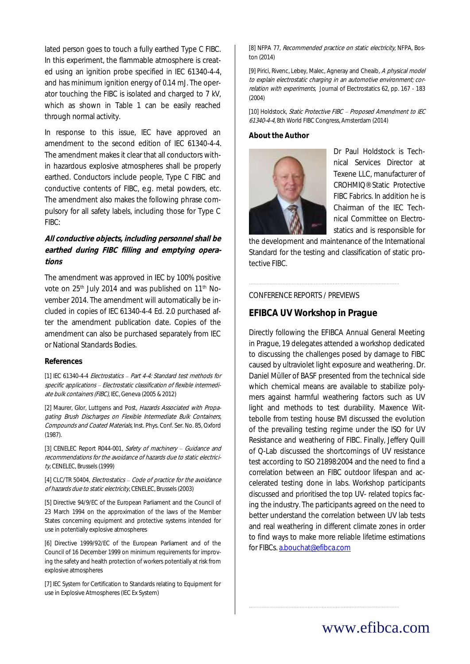lated person goes to touch a fully earthed Type C FIBC. In this experiment, the flammable atmosphere is created using an ignition probe specified in IEC 61340-4-4, and has minimum ignition energy of 0.14 mJ. The operator touching the FIBC is isolated and charged to 7 kV, which as shown in Table 1 can be easily reached through normal activity.

In response to this issue, IEC have approved an amendment to the second edition of IEC 61340-4-4. The amendment makes it clear that all conductors within hazardous explosive atmospheres shall be properly earthed. Conductors include people, Type C FIBC and conductive contents of FIBC, e.g. metal powders, etc. The amendment also makes the following phrase compulsory for all safety labels, including those for Type C FIBC:

# **All conductive objects, including personnel shall be earthed during FIBC filling and emptying operations**

The amendment was approved in IEC by 100% positive vote on 25<sup>th</sup> July 2014 and was published on 11<sup>th</sup> November 2014. The amendment will automatically be included in copies of IEC 61340-4-4 Ed. 2.0 purchased after the amendment publication date. Copies of the amendment can also be purchased separately from IEC or National Standards Bodies.

#### **References**

[1] IEC 61340-4-4 Electrostatics - Part 4-4: Standard test methods for specific applications - Electrostatic classification of flexible intermediate bulk containers (FIBC), IEC, Geneva (2005 & 2012)

[2] Maurer, Glor, Luttgens and Post, Hazards Associated with Propagating Brush Discharges on Flexible Intermediate Bulk Containers, Compounds and Coated Materials, Inst. Phys. Conf. Ser. No. 85, Oxford (1987).

[3] CENELEC Report R044-001, Safety of machinery - Guidance and recommendations for the avoidance of hazards due to static electricity, CENELEC, Brussels (1999)

[4] CLC/TR 50404, Electrostatics  $-$  Code of practice for the avoidance of hazards due to static electricity, CENELEC, Brussels (2003)

[5] Directive 94/9/EC of the European Parliament and the Council of 23 March 1994 on the approximation of the laws of the Member States concerning equipment and protective systems intended for use in potentially explosive atmospheres

[6] Directive 1999/92/EC of the European Parliament and of the Council of 16 December 1999 on minimum requirements for improving the safety and health protection of workers potentially at risk from explosive atmospheres

[7] IEC System for Certification to Standards relating to Equipment for use in Explosive Atmospheres (IEC Ex System)

[8] NFPA 77, Recommended practice on static electricity, NFPA, Boston (2014)

[9] Pirici, Rivenc, Lebey, Malec, Agneray and Cheaib, A physical model to explain electrostatic charging in an automotive environment; correlation with experiments, Journal of Electrostatics 62, pp. 167 - 183 (2004)

[10] Holdstock, Static Protective FIBC - Proposed Amendment to IEC 61340-4-4, 8th World FIBC Congress, Amsterdam (2014)

#### **About the Author**



Dr Paul Holdstock is Technical Services Director at Texene LLC, manufacturer of CROHMIQ® Static Protective FIBC Fabrics. In addition he is Chairman of the IEC Technical Committee on Electrostatics and is responsible for

the development and maintenance of the International Standard for the testing and classification of static protective FIBC.

#### CONFERENCE REPORTS / PREVIEWS

# **EFIBCA UV Workshop in Prague**

Directly following the EFIBCA Annual General Meeting in Prague, 19 delegates attended a workshop dedicated to discussing the challenges posed by damage to FIBC caused by ultraviolet light exposure and weathering. Dr. Daniel Müller of BASF presented from the technical side which chemical means are available to stabilize polymers against harmful weathering factors such as UV light and methods to test durability. Maxence Wittebolle from testing house BVI discussed the evolution of the prevailing testing regime under the ISO for UV Resistance and weathering of FIBC. Finally, Jeffery Quill of Q-Lab discussed the shortcomings of UV resistance test according to ISO 21898:2004 and the need to find a correlation between an FIBC outdoor lifespan and accelerated testing done in labs. Workshop participants discussed and prioritised the top UV- related topics facing the industry. The participants agreed on the need to better understand the correlation between UV lab tests and real weathering in different climate zones in order to find ways to make more reliable lifetime estimations for FIBCs. [a.bouchat@efibca.com](mailto:a.bouchat@efibca.com)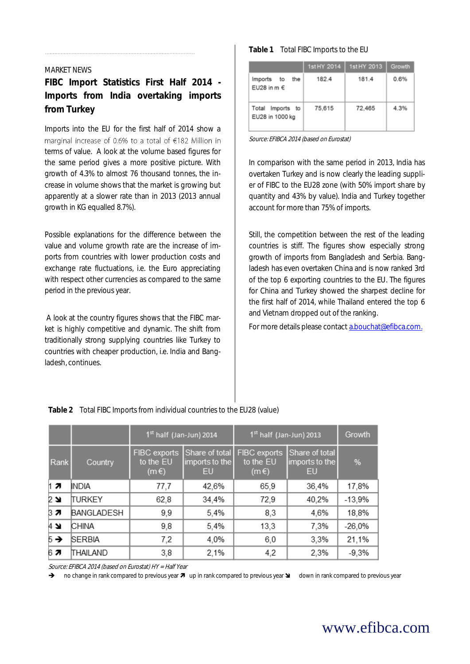#### MARKET NEWS

# **FIBC Import Statistics First Half 2014 - Imports from India overtaking imports from Turkey**

Imports into the EU for the first half of 2014 show a marginal increase of 0.6% to a total of €182 Million in terms of value. A look at the volume based figures for the same period gives a more positive picture. With growth of 4.3% to almost 76 thousand tonnes, the increase in volume shows that the market is growing but apparently at a slower rate than in 2013 (2013 annual growth in KG equalled 8.7%).

Possible explanations for the difference between the value and volume growth rate are the increase of imports from countries with lower production costs and exchange rate fluctuations, i.e. the Euro appreciating with respect other currencies as compared to the same period in the previous year.

A look at the country figures shows that the FIBC market is highly competitive and dynamic. The shift from traditionally strong supplying countries like Turkey to countries with cheaper production, i.e. India and Bangladesh, continues.

#### **Table 1** Total FIBC Imports to the EU

|                                         |        | 1st HY 2014   1st HY 2013 | Growth |
|-----------------------------------------|--------|---------------------------|--------|
| Imports<br>the<br>to<br>EU28 in $m \in$ | 182.4  | 181.4                     | 0.6%   |
| Total<br>Imports to<br>EU28 in 1000 kg  | 75,615 | 72,465                    | 4.3%   |

Source: EFIBCA 2014 (based on Eurostat)

In comparison with the same period in 2013, India has overtaken Turkey and is now clearly the leading supplier of FIBC to the EU28 zone (with 50% import share by quantity and 43% by value). India and Turkey together account for more than 75% of imports.

Still, the competition between the rest of the leading countries is stiff. The figures show especially strong growth of imports from Bangladesh and Serbia. Bangladesh has even overtaken China and is now ranked 3rd of the top 6 exporting countries to the EU. The figures for China and Turkey showed the sharpest decline for the first half of 2014, while Thailand entered the top 6 and Vietnam dropped out of the ranking.

For more details please contac[t a.bouchat@efibca.com.](mailto:a.bouchat@efibca.com)

|                |                   | 1 <sup>st</sup> half (Jan-Jun) 2014     |                                        | 1 <sup>st</sup> half (Jan-Jun) 2013            |                                        | Growth   |
|----------------|-------------------|-----------------------------------------|----------------------------------------|------------------------------------------------|----------------------------------------|----------|
| Rank           | Country           | FIBC exports<br>to the EU<br>$(m \in )$ | Share of total<br>imports to the<br>EU | <b>FIBC</b> exports<br>to the EU<br>$(m \in )$ | Share of total<br>imports to the<br>EU | %        |
| 17             | <b>INDIA</b>      | 77,7                                    | 42,6%                                  | 65,9                                           | 36,4%                                  | 17,8%    |
| 2 ≱            | ITURKEY           | 62,8                                    | 34,4%                                  | 72,9                                           | 40,2%                                  | $-13,9%$ |
| з я            | <b>BANGLADESH</b> | 9,9                                     | 5,4%                                   | 8,3                                            | 4,6%                                   | 18,8%    |
| 4 ≱            | <b>CHINA</b>      | 9,8                                     | 5,4%                                   | 13,3                                           | 7,3%                                   | $-26,0%$ |
| $5\rightarrow$ | <b>SERBIA</b>     | 7,2                                     | 4,0%                                   | 6,0                                            | 3,3%                                   | 21,1%    |
| 67             | THAILAND          | 3,8                                     | 2,1%                                   | 4,2                                            | 2,3%                                   | $-9,3%$  |

**Table 2** Total FIBC Imports from individual countries to the EU28 (value)

Source: EFIBCA 2014 (based on Eurostat) HY = Half Year

no change in rank compared to previous year  $\pi$  up in rank compared to previous year  $\Box$  down in rank compared to previous year